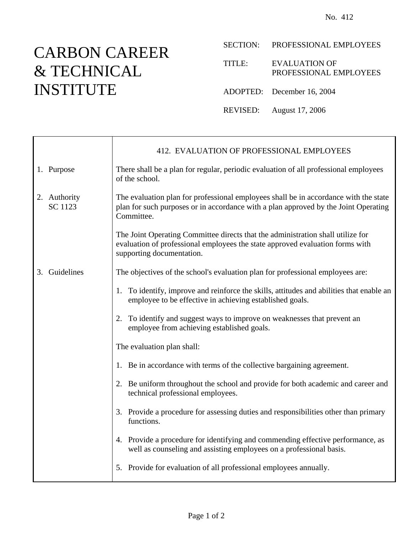## CARBON CAREER & TECHNICAL INSTITUTE

Ť

 $\mathsf{r}$ 

SECTION: PROFESSIONAL EMPLOYEES

TITLE: EVALUATION OF PROFESSIONAL EMPLOYEES

ADOPTED: December 16, 2004

REVISED: August 17, 2006

|                                | 412. EVALUATION OF PROFESSIONAL EMPLOYEES                                                                                                                                                     |
|--------------------------------|-----------------------------------------------------------------------------------------------------------------------------------------------------------------------------------------------|
| 1. Purpose                     | There shall be a plan for regular, periodic evaluation of all professional employees<br>of the school.                                                                                        |
| 2. Authority<br><b>SC 1123</b> | The evaluation plan for professional employees shall be in accordance with the state<br>plan for such purposes or in accordance with a plan approved by the Joint Operating<br>Committee.     |
|                                | The Joint Operating Committee directs that the administration shall utilize for<br>evaluation of professional employees the state approved evaluation forms with<br>supporting documentation. |
| 3. Guidelines                  | The objectives of the school's evaluation plan for professional employees are:                                                                                                                |
|                                | 1. To identify, improve and reinforce the skills, attitudes and abilities that enable an<br>employee to be effective in achieving established goals.                                          |
|                                | 2. To identify and suggest ways to improve on weaknesses that prevent an<br>employee from achieving established goals.                                                                        |
|                                | The evaluation plan shall:                                                                                                                                                                    |
|                                | 1. Be in accordance with terms of the collective bargaining agreement.                                                                                                                        |
|                                | 2. Be uniform throughout the school and provide for both academic and career and<br>technical professional employees.                                                                         |
|                                | 3. Provide a procedure for assessing duties and responsibilities other than primary<br>functions.                                                                                             |
|                                | 4. Provide a procedure for identifying and commending effective performance, as<br>well as counseling and assisting employees on a professional basis.                                        |
|                                | 5. Provide for evaluation of all professional employees annually.                                                                                                                             |